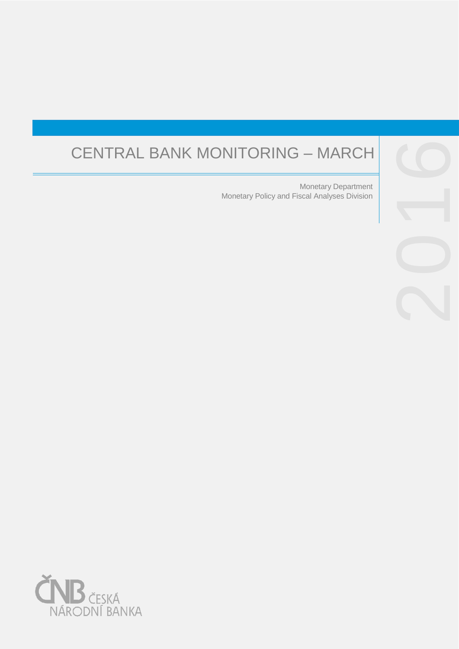# CENTRAL BANK MONITORING – MARCH

Monetary Policy and Fiscal Analyses Division Monetary Department



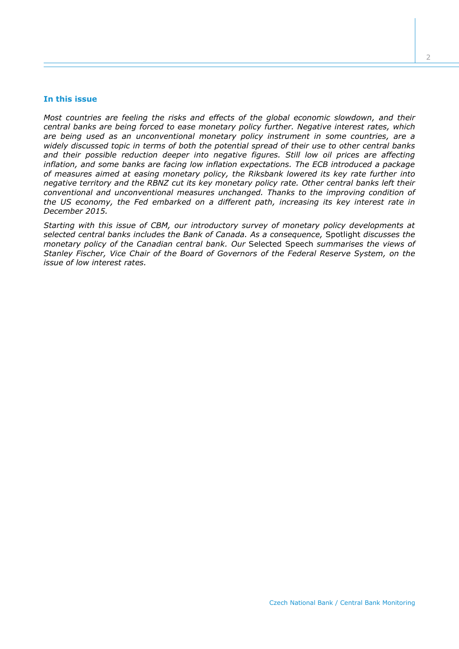#### **In this issue**

*Most countries are feeling the risks and effects of the global economic slowdown, and their central banks are being forced to ease monetary policy further. Negative interest rates, which are being used as an unconventional monetary policy instrument in some countries, are a widely discussed topic in terms of both the potential spread of their use to other central banks and their possible reduction deeper into negative figures. Still low oil prices are affecting inflation, and some banks are facing low inflation expectations. The ECB introduced a package of measures aimed at easing monetary policy, the Riksbank lowered its key rate further into negative territory and the RBNZ cut its key monetary policy rate. Other central banks left their conventional and unconventional measures unchanged. Thanks to the improving condition of the US economy, the Fed embarked on a different path, increasing its key interest rate in December 2015.*

*Starting with this issue of CBM, our introductory survey of monetary policy developments at selected central banks includes the Bank of Canada. As a consequence,* Spotlight *discusses the monetary policy of the Canadian central bank. Our* Selected Speech *summarises the views of Stanley Fischer, Vice Chair of the Board of Governors of the Federal Reserve System, on the issue of low interest rates.*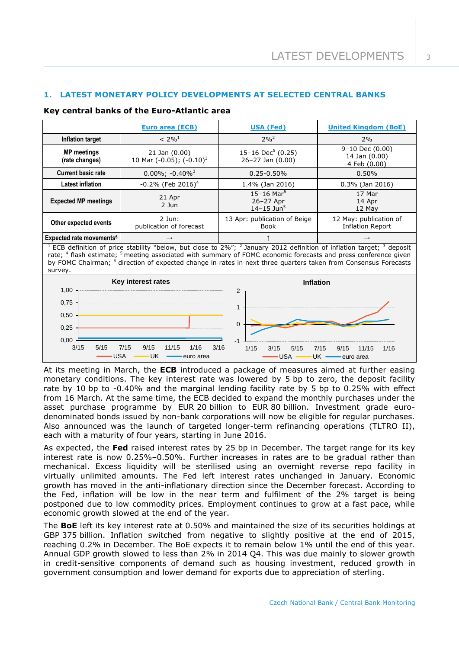# **1. LATEST MONETARY POLICY DEVELOPMENTS AT SELECTED CENTRAL BANKS**

#### **Key central banks of the Euro-Atlantic area**

|                                                                                                                                                                                                                                                                                                                                                                                                                                               | Euro area (ECB)                                  | <b>USA (Fed)</b>                                                 | <b>United Kingdom (BoE)</b>                          |  |  |  |
|-----------------------------------------------------------------------------------------------------------------------------------------------------------------------------------------------------------------------------------------------------------------------------------------------------------------------------------------------------------------------------------------------------------------------------------------------|--------------------------------------------------|------------------------------------------------------------------|------------------------------------------------------|--|--|--|
| Inflation target                                                                                                                                                                                                                                                                                                                                                                                                                              | $< 2\%$ <sup>1</sup>                             | $2\%^{2}$                                                        | 2%                                                   |  |  |  |
| <b>MP</b> meetings<br>(rate changes)                                                                                                                                                                                                                                                                                                                                                                                                          | $21$ Jan $(0.00)$<br>10 Mar (-0.05); $(-0.10)^3$ | 15-16 Dec <sup>5</sup> (0.25)<br>$26 - 27$ Jan $(0.00)$          | $9-10$ Dec $(0.00)$<br>14 Jan (0.00)<br>4 Feb (0.00) |  |  |  |
| <b>Current basic rate</b>                                                                                                                                                                                                                                                                                                                                                                                                                     | $0.00\%$ ; -0.40% <sup>3</sup>                   | $0.25 - 0.50\%$                                                  | 0.50%                                                |  |  |  |
| <b>Latest inflation</b>                                                                                                                                                                                                                                                                                                                                                                                                                       | $-0.2\%$ (Feb 2016) <sup>4</sup>                 | 1.4% (Jan 2016)                                                  | 0.3% (Jan 2016)                                      |  |  |  |
| <b>Expected MP meetings</b>                                                                                                                                                                                                                                                                                                                                                                                                                   | 21 Apr<br>2 Jun                                  | 15–16 Mar <sup>5</sup><br>26-27 Apr<br>14 $-15$ Jun <sup>5</sup> | 17 Mar<br>14 Apr<br>12 May                           |  |  |  |
| Other expected events                                                                                                                                                                                                                                                                                                                                                                                                                         | $2$ Jun:<br>publication of forecast              | 13 Apr: publication of Beige<br>Book                             | 12 May: publication of<br><b>Inflation Report</b>    |  |  |  |
| Expected rate movements <sup>6</sup>                                                                                                                                                                                                                                                                                                                                                                                                          | $\rightarrow$                                    |                                                                  |                                                      |  |  |  |
| <sup>1</sup> ECB definition of price stability "below, but close to $2\%$ "; <sup>2</sup> January 2012 definition of inflation target; <sup>3</sup> deposit<br>rate; <sup>4</sup> flash estimate; <sup>5</sup> meeting associated with summary of FOMC economic forecasts and press conference given<br>by FOMC Chairman; <sup>6</sup> direction of expected change in rates in next three quarters taken from Consensus Forecasts<br>survey. |                                                  |                                                                  |                                                      |  |  |  |



At its meeting in March, the **ECB** introduced a package of measures aimed at further easing monetary conditions. The key interest rate was lowered by 5 bp to zero, the deposit facility rate by 10 bp to -0.40% and the marginal lending facility rate by 5 bp to 0.25% with effect from 16 March. At the same time, the ECB decided to expand the monthly purchases under the asset purchase programme by EUR 20 billion to EUR 80 billion. Investment grade eurodenominated bonds issued by non-bank corporations will now be eligible for regular purchases. Also announced was the launch of targeted longer-term refinancing operations (TLTRO II), each with a maturity of four years, starting in June 2016.

As expected, the **Fed** raised interest rates by 25 bp in December. The target range for its key interest rate is now 0.25%–0.50%. Further increases in rates are to be gradual rather than mechanical. Excess liquidity will be sterilised using an overnight reverse repo facility in virtually unlimited amounts. The Fed left interest rates unchanged in January. Economic growth has moved in the anti-inflationary direction since the December forecast. According to the Fed, inflation will be low in the near term and fulfilment of the 2% target is being postponed due to low commodity prices. Employment continues to grow at a fast pace, while economic growth slowed at the end of the year.

The **BoE** left its key interest rate at 0.50% and maintained the size of its securities holdings at GBP 375 billion. Inflation switched from negative to slightly positive at the end of 2015, reaching 0.2% in December. The BoE expects it to remain below 1% until the end of this year. Annual GDP growth slowed to less than 2% in 2014 Q4. This was due mainly to slower growth in credit-sensitive components of demand such as housing investment, reduced growth in government consumption and lower demand for exports due to appreciation of sterling.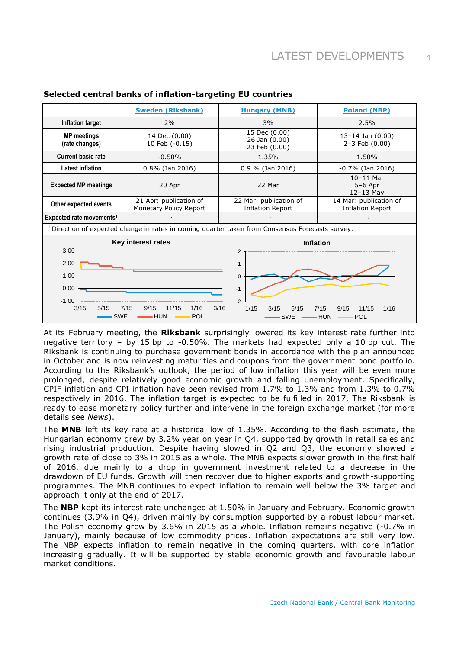|                                                                                                                                                                                                                                    | <b>Sweden (Riksbank)</b>                         | <b>Hungary (MNB)</b>                               | <b>Poland (NBP)</b>                               |  |  |  |  |
|------------------------------------------------------------------------------------------------------------------------------------------------------------------------------------------------------------------------------------|--------------------------------------------------|----------------------------------------------------|---------------------------------------------------|--|--|--|--|
| Inflation target                                                                                                                                                                                                                   | 2%                                               | 3%                                                 | 2.5%                                              |  |  |  |  |
| <b>MP</b> meetings<br>(rate changes)                                                                                                                                                                                               | 14 Dec (0.00)<br>10 Feb (-0.15)                  | 15 Dec (0.00)<br>26 Jan (0.00)<br>23 Feb (0.00)    | $13-14$ Jan $(0.00)$<br>$2 - 3$ Feb $(0.00)$      |  |  |  |  |
| <b>Current basic rate</b>                                                                                                                                                                                                          | $-0.50%$                                         | 1.35%                                              | 1.50%                                             |  |  |  |  |
| <b>Latest inflation</b>                                                                                                                                                                                                            | 0.8% (Jan 2016)                                  | 0.9 % (Jan 2016)                                   | $-0.7\%$ (Jan 2016)                               |  |  |  |  |
| <b>Expected MP meetings</b>                                                                                                                                                                                                        | 20 Apr                                           | 22 Mar                                             | $10-11$ Mar<br>$5-6$ Apr<br>$12-13$ May           |  |  |  |  |
| Other expected events                                                                                                                                                                                                              | 21 Apr: publication of<br>Monetary Policy Report | 22 Mar: publication of<br><b>Inflation Report</b>  | 14 Mar: publication of<br><b>Inflation Report</b> |  |  |  |  |
| Expected rate movements <sup>1</sup>                                                                                                                                                                                               | $\rightarrow$                                    | $\rightarrow$                                      | $\rightarrow$                                     |  |  |  |  |
| <sup>1</sup> Direction of expected change in rates in coming quarter taken from Consensus Forecasts survey.                                                                                                                        |                                                  |                                                    |                                                   |  |  |  |  |
| Key interest rates<br>3,00<br>2,00                                                                                                                                                                                                 |                                                  | <b>Inflation</b><br>$\overline{2}$<br>$\mathbf{1}$ |                                                   |  |  |  |  |
| 1,00<br>$\Omega$<br>0,00<br>-1<br>$-1,00$<br>$-2$<br>9/15<br>11/15<br>3/15<br>5/15<br>7/15<br>1/16<br>3/16<br>1/15<br>3/15<br>7/15<br>9/15<br>5/15<br>11/15<br>1/16<br><b>HUN</b><br>POL<br>SWE<br><b>HUN</b><br><b>SWE</b><br>POL |                                                  |                                                    |                                                   |  |  |  |  |

#### **Selected central banks of inflation-targeting EU countries**

At its February meeting, the **Riksbank** surprisingly lowered its key interest rate further into negative territory – by 15 bp to -0.50%. The markets had expected only a 10 bp cut. The Riksbank is continuing to purchase government bonds in accordance with the plan announced in October and is now reinvesting maturities and coupons from the government bond portfolio. According to the Riksbank's outlook, the period of low inflation this year will be even more prolonged, despite relatively good economic growth and falling unemployment. Specifically, CPIF inflation and CPI inflation have been revised from 1.7% to 1.3% and from 1.3% to 0.7% respectively in 2016. The inflation target is expected to be fulfilled in 2017. The Riksbank is ready to ease monetary policy further and intervene in the foreign exchange market (for more details see *News*).

The **MNB** left its key rate at a historical low of 1.35%. According to the flash estimate, the Hungarian economy grew by 3.2% year on year in Q4, supported by growth in retail sales and rising industrial production. Despite having slowed in Q2 and Q3, the economy showed a growth rate of close to 3% in 2015 as a whole. The MNB expects slower growth in the first half of 2016, due mainly to a drop in government investment related to a decrease in the drawdown of EU funds. Growth will then recover due to higher exports and growth-supporting programmes. The MNB continues to expect inflation to remain well below the 3% target and approach it only at the end of 2017.

The **NBP** kept its interest rate unchanged at 1.50% in January and February. Economic growth continues (3.9% in Q4), driven mainly by consumption supported by a robust labour market. The Polish economy grew by 3.6% in 2015 as a whole. Inflation remains negative (-0.7% in January), mainly because of low commodity prices. Inflation expectations are still very low. The NBP expects inflation to remain negative in the coming quarters, with core inflation increasing gradually. It will be supported by stable economic growth and favourable labour market conditions.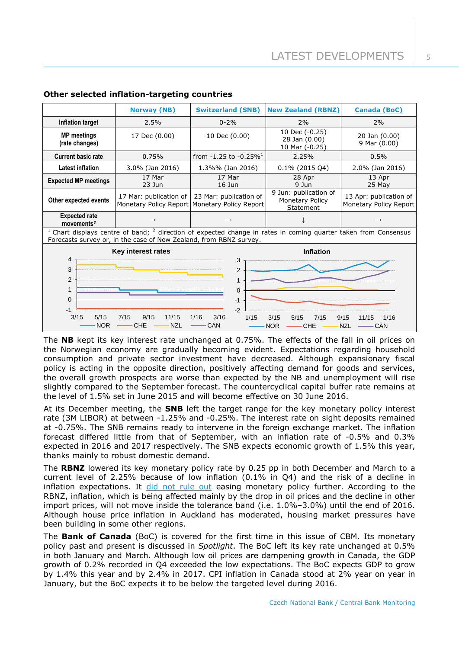|                                                                                                                                                                                                                     | <b>Norway (NB)</b>     | <b>Switzerland (SNB)</b>                                                  | <b>New Zealand (RBNZ)</b>                             | <b>Canada (BoC)</b>                              |  |  |  |
|---------------------------------------------------------------------------------------------------------------------------------------------------------------------------------------------------------------------|------------------------|---------------------------------------------------------------------------|-------------------------------------------------------|--------------------------------------------------|--|--|--|
| Inflation target                                                                                                                                                                                                    | 2.5%                   | $0 - 2%$                                                                  | 2%                                                    | 2%                                               |  |  |  |
| <b>MP</b> meetings<br>(rate changes)                                                                                                                                                                                | 17 Dec (0.00)          | 10 Dec (0.00)                                                             | 10 Dec (-0.25)<br>28 Jan (0.00)<br>10 Mar (-0.25)     | 20 Jan (0.00)<br>9 Mar (0.00)                    |  |  |  |
| <b>Current basic rate</b>                                                                                                                                                                                           | 0.75%                  | from $-1.25$ to $-0.25\%$ <sup>1</sup>                                    | 2.25%                                                 | 0.5%                                             |  |  |  |
| <b>Latest inflation</b>                                                                                                                                                                                             | 3.0% (Jan 2016)        | 1.3%% (Jan 2016)                                                          | $0.1\%$ (2015 Q4)                                     | 2.0% (Jan 2016)                                  |  |  |  |
| <b>Expected MP meetings</b>                                                                                                                                                                                         | 17 Mar<br>$23$ Jun     | 17 Mar<br>16 Jun                                                          | 28 Apr<br>9 Jun                                       | 13 Apr<br>25 May                                 |  |  |  |
| Other expected events                                                                                                                                                                                               | 17 Mar: publication of | 23 Mar: publication of<br>Monetary Policy Report   Monetary Policy Report | 9 Jun: publication of<br>Monetary Policy<br>Statement | 13 Apr: publication of<br>Monetary Policy Report |  |  |  |
| <b>Expected rate</b><br>movements <sup>2</sup>                                                                                                                                                                      |                        |                                                                           |                                                       |                                                  |  |  |  |
| Chart displays centre of band; <sup>2</sup> direction of expected change in rates in coming quarter taken from Consensus<br>Forecasts survey or, in the case of New Zealand, from RBNZ survey.                      |                        |                                                                           |                                                       |                                                  |  |  |  |
| Key interest rates<br><b>Inflation</b>                                                                                                                                                                              |                        |                                                                           |                                                       |                                                  |  |  |  |
| 4<br>3<br>3<br>2<br>2<br>1<br>$\mathbf 0$<br>$\Omega$<br>$-1$<br>$-2$<br>$-1$                                                                                                                                       |                        |                                                                           |                                                       |                                                  |  |  |  |
| 3/15<br>11/15<br>5/15<br>7/15<br>9/15<br>1/16<br>3/16<br>1/15<br>3/15<br>7/15<br>9/15<br>5/15<br>11/15<br>1/16<br><b>NOR</b><br><b>CHE</b><br><b>NZL</b><br>CAN<br><b>NOR</b><br><b>CHE</b><br><b>NZL</b><br>$-CAN$ |                        |                                                                           |                                                       |                                                  |  |  |  |

#### **Other selected inflation-targeting countries**

The **NB** kept its key interest rate unchanged at 0.75%. The effects of the fall in oil prices on the Norwegian economy are gradually becoming evident. Expectations regarding household consumption and private sector investment have decreased. Although expansionary fiscal policy is acting in the opposite direction, positively affecting demand for goods and services, the overall growth prospects are worse than expected by the NB and unemployment will rise slightly compared to the September forecast. The countercyclical capital buffer rate remains at the level of 1.5% set in June 2015 and will become effective on 30 June 2016.

At its December meeting, the **SNB** left the target range for the key monetary policy interest rate (3M LIBOR) at between -1.25% and -0.25%. The interest rate on sight deposits remained at -0.75%. The SNB remains ready to intervene in the foreign exchange market. The inflation forecast differed little from that of September, with an inflation rate of -0.5% and 0.3% expected in 2016 and 2017 respectively. The SNB expects economic growth of 1.5% this year, thanks mainly to robust domestic demand.

The **RBNZ** lowered its key monetary policy rate by 0.25 pp in both December and March to a current level of 2.25% because of low inflation (0.1% in Q4) and the risk of a decline in inflation expectations. It [did not rule out](http://www.rbnz.govt.nz/news/2016/03/official-cash-rate-reduced-to-2-25-percent) easing monetary policy further. According to the RBNZ, inflation, which is being affected mainly by the drop in oil prices and the decline in other import prices, will not move inside the tolerance band (i.e. 1.0%–3.0%) until the end of 2016. Although house price inflation in Auckland has moderated, housing market pressures have been building in some other regions.

The **Bank of Canada** (BoC) is covered for the first time in this issue of CBM. Its monetary policy past and present is discussed in *Spotlight*. The BoC left its key rate unchanged at 0.5% in both January and March. Although low oil prices are dampening growth in Canada, the GDP growth of 0.2% recorded in Q4 exceeded the low expectations. The BoC expects GDP to grow by 1.4% this year and by 2.4% in 2017. CPI inflation in Canada stood at 2% year on year in January, but the BoC expects it to be below the targeted level during 2016.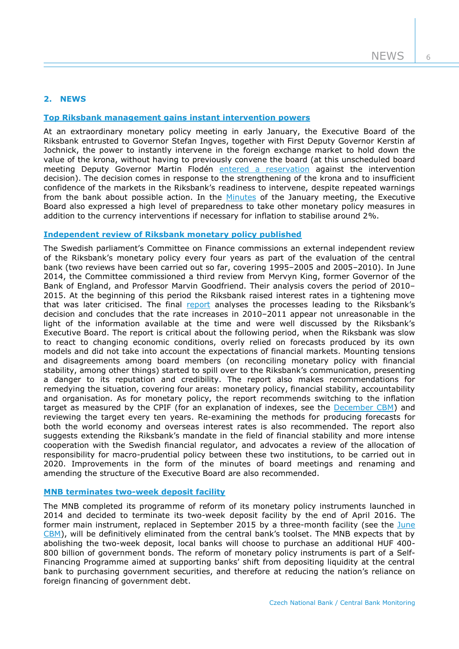# **2. NEWS**

#### **[Top Riksbank management gains instant intervention powers](http://www.riksbank.se/en/Press-and-published/Press-Releases/2016/Delegation-decision-regarding-currency-interventions/)**

At an extraordinary monetary policy meeting in early January, the Executive Board of the Riksbank entrusted to Governor Stefan Ingves, together with First Deputy Governor Kerstin af Jochnick, the power to instantly intervene in the foreign exchange market to hold down the value of the krona, without having to previously convene the board (at this unscheduled board meeting Deputy Governor Martin Flodén [entered a reservation](http://www.riksbank.se/Documents/Protokollsbilagor/Direktionen/2016/probil_dir_B_160104_eng.pdf) against the intervention decision). The decision comes in response to the strengthening of the krona and to insufficient confidence of the markets in the Riksbank's readiness to intervene, despite repeated warnings from the bank about possible action. In the [Minutes](http://www.riksbank.se/en/Press-and-published/Minutes-of-the-Executive-Boards-monetary-policy-meetings/2016/Minutes-of-Monetary-Policy-Meeting-held-on-4-January-2016/) of the January meeting, the Executive Board also expressed a high level of preparedness to take other monetary policy measures in addition to the currency interventions if necessary for inflation to stabilise around 2%.

#### **[Independent review of Riksbank monetary policy published](http://www.riksbank.se/en/Press-and-published/Notices/2016/Riksbank-welcomes-Committee-on-Finances-review-of-monetary-policy/)**

The Swedish parliament's Committee on Finance commissions an external independent review of the Riksbank's monetary policy every four years as part of the evaluation of the central bank (two reviews have been carried out so far, covering 1995–2005 and 2005–2010). In June 2014, the Committee commissioned a third review from Mervyn King, former Governor of the Bank of England, and Professor Marvin Goodfriend. Their analysis covers the period of 2010– 2015. At the beginning of this period the Riksbank raised interest rates in a tightening move that was later criticised. The final [report](http://www.riksbank.se/Documents/Rapporter/%C3%96vrigt/utvardering_penningpolitik_2010_2015_eng.pdf) analyses the processes leading to the Riksbank's decision and concludes that the rate increases in 2010–2011 appear not unreasonable in the light of the information available at the time and were well discussed by the Riksbank's Executive Board. The report is critical about the following period, when the Riksbank was slow to react to changing economic conditions, overly relied on forecasts produced by its own models and did not take into account the expectations of financial markets. Mounting tensions and disagreements among board members (on reconciling monetary policy with financial stability, among other things) started to spill over to the Riksbank's communication, presenting a danger to its reputation and credibility. The report also makes recommendations for remedying the situation, covering four areas: monetary policy, financial stability, accountability and organisation. As for monetary policy, the report recommends switching to the inflation target as measured by the CPIF (for an explanation of indexes, see the [December CBM\)](http://www.cnb.cz/miranda2/export/sites/www.cnb.cz/en/monetary_policy/monitoring/download/1504_cbm.pdf) and reviewing the target every ten years. Re-examining the methods for producing forecasts for both the world economy and overseas interest rates is also recommended. The report also suggests extending the Riksbank's mandate in the field of financial stability and more intense cooperation with the Swedish financial regulator, and advocates a review of the allocation of responsibility for macro-prudential policy between these two institutions, to be carried out in 2020. Improvements in the form of the minutes of board meetings and renaming and amending the structure of the Executive Board are also recommended.

# **[MNB terminates two-week deposit facility](http://www.mnb.hu/en/pressroom/press-releases/press-releases-2016/termination-of-the-two-week-deposit-to-complete-the-reform-of-the-mnb-s-policy-instruments)**

The MNB completed its programme of reform of its monetary policy instruments launched in 2014 and decided to terminate its two-week deposit facility by the end of April 2016. The former main instrument, replaced in September 2015 by a three-month facility (see the [June](http://www.cnb.cz/miranda2/export/sites/www.cnb.cz/en/monetary_policy/monitoring/download/1502_cbm.pdf)  [CBM](http://www.cnb.cz/miranda2/export/sites/www.cnb.cz/en/monetary_policy/monitoring/download/1502_cbm.pdf)), will be definitively eliminated from the central bank's toolset. The MNB expects that by abolishing the two-week deposit, local banks will choose to purchase an additional HUF 400- 800 billion of government bonds. The reform of monetary policy instruments is part of a Self-Financing Programme aimed at supporting banks' shift from depositing liquidity at the central bank to purchasing government securities, and therefore at reducing the nation's reliance on foreign financing of government debt.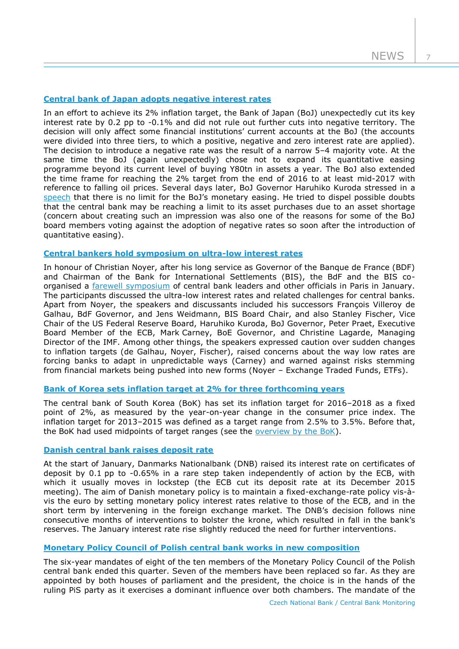#### **[Central bank of Japan adopts negative interest rates](https://www.boj.or.jp/en/announcements/release_2016/k160129a.pdf)**

In an effort to achieve its 2% inflation target, the Bank of Japan (BoJ) unexpectedly cut its key interest rate by 0.2 pp to -0.1% and did not rule out further cuts into negative territory. The decision will only affect some financial institutions' current accounts at the BoJ (the accounts were divided into three tiers, to which a positive, negative and zero interest rate are applied). The decision to introduce a negative rate was the result of a narrow 5–4 majority vote. At the same time the BoJ (again unexpectedly) chose not to expand its quantitative easing programme beyond its current level of buying Y80tn in assets a year. The BoJ also extended the time frame for reaching the 2% target from the end of 2016 to at least mid-2017 with reference to falling oil prices. Several days later, BoJ Governor Haruhiko Kuroda stressed in a [speech](http://www.bis.org/review/r160204a.pdf) that there is no limit for the BoJ's monetary easing. He tried to dispel possible doubts that the central bank may be reaching a limit to its asset purchases due to an asset shortage (concern about creating such an impression was also one of the reasons for some of the BoJ board members voting against the adoption of negative rates so soon after the introduction of quantitative easing).

#### **Central bankers hold [symposium on ultra-low interest rates](https://www.banque-france.fr/en/economics-statistics/research/seminars-and-symposiums/symposium-a-loccasion-du-depart-de-christian-noyer-banque-de-france-et-banque-des-reglements-internationaux.html)**

In honour of Christian Noyer, after his long service as Governor of the Banque de France (BDF) and Chairman of the Bank for International Settlements (BIS), the BdF and the BIS coorganised a *farewell symposium* of central bank leaders and other officials in Paris in January. The participants discussed the ultra-low interest rates and related challenges for central banks. Apart from Noyer, the speakers and discussants included his successors François Villeroy de Galhau, BdF Governor, and Jens Weidmann, BIS Board Chair, and also Stanley Fischer, Vice Chair of the US Federal Reserve Board, Haruhiko Kuroda, BoJ Governor, Peter Praet, Executive Board Member of the ECB, Mark Carney, BoE Governor, and Christine Lagarde, Managing Director of the IMF. Among other things, the speakers expressed caution over sudden changes to inflation targets (de Galhau, Noyer, Fischer), raised concerns about the way low rates are forcing banks to adapt in unpredictable ways (Carney) and warned against risks stemming from financial markets being pushed into new forms (Noyer – Exchange Traded Funds, ETFs).

#### **Bank of Korea sets [inflation target at 2% for three forthcoming years](http://www.bok.or.kr/contents/total/eng/boardView.action?boardBean.brdid=17492&boardBean.rnum=41&menuNaviId=634&boardBean.menuid=634&boardBean.cPage=5&boardBean.categorycd=0&boardBean.sdt=&boardBean.edt=&boardBean.searchColumn=&boardBean.searchValue=)**

The central bank of South Korea (BoK) has set its inflation target for 2016–2018 as a fixed point of 2%, as measured by the year-on-year change in the consumer price index. The inflation target for 2013–2015 was defined as a target range from 2.5% to 3.5%. Before that, the BoK had used midpoints of target ranges (see the [overview by](http://www.bok.or.kr/broadcast.action?menuNaviId=1612) the BoK).

#### **[Danish central bank raises deposit rate](https://www.nationalbanken.dk/en/pressroom/Pages/2016/01/DNN201623357.aspx)**

At the start of January, Danmarks Nationalbank (DNB) raised its interest rate on certificates of deposit by 0.1 pp to -0.65% in a rare step taken independently of action by the ECB, with which it usually moves in lockstep (the ECB cut its deposit rate at its December 2015 meeting). The aim of Danish monetary policy is to maintain a fixed-exchange-rate policy vis-àvis the euro by setting monetary policy interest rates relative to those of the ECB, and in the short term by intervening in the foreign exchange market. The DNB's decision follows nine consecutive months of interventions to bolster the krone, which resulted in fall in the bank's reserves. The January interest rate rise slightly reduced the need for further interventions.

# **[Monetary Policy Council of Polish central bank works in new composition](http://www.nbp.pl/homen.aspx?f=/en/onbp/organizacja/rada.html)**

The six-year mandates of eight of the ten members of the Monetary Policy Council of the Polish central bank ended this quarter. Seven of the members have been replaced so far. As they are appointed by both houses of parliament and the president, the choice is in the hands of the ruling PiS party as it exercises a dominant influence over both chambers. The mandate of the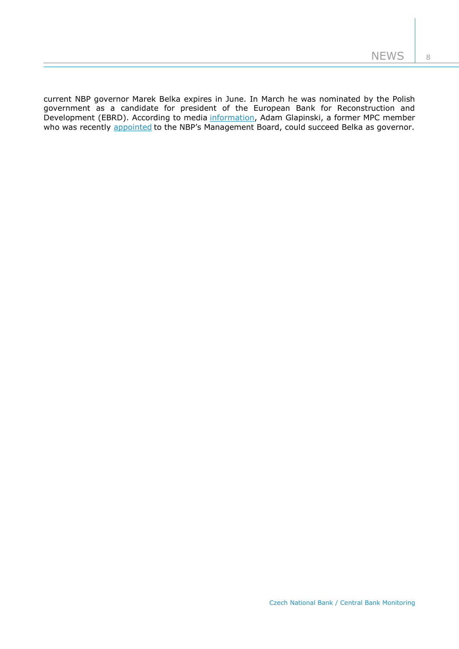current NBP governor Marek Belka expires in June. In March he was nominated by the Polish government as a candidate for president of the European Bank for Reconstruction and Development (EBRD). According to media [information,](http://www.thenews.pl/1/12/Artykul/242876,Ratesetter-‘to-take-over-as-Polish-central-bank-chief’) Adam Glapinski, a former MPC member who was recently [appointed](http://www.nbp.pl/homen.aspx?f=/en/aktualnosci/2016/2016-03-01.html) to the NBP's Management Board, could succeed Belka as governor.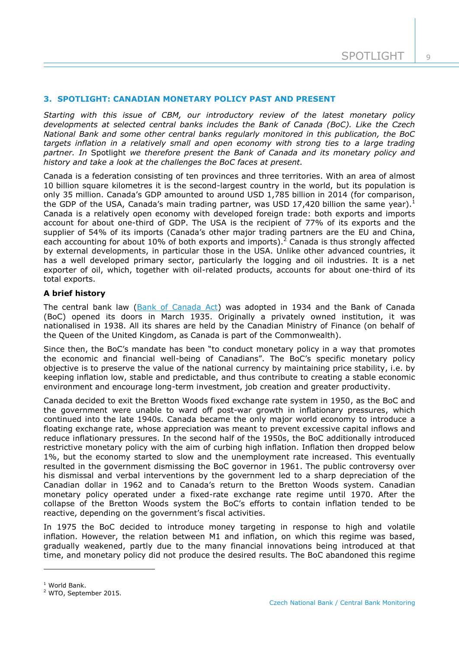#### **3. SPOTLIGHT: CANADIAN MONETARY POLICY PAST AND PRESENT**

*Starting with this issue of CBM, our introductory review of the latest monetary policy developments at selected central banks includes the Bank of Canada (BoC). Like the Czech National Bank and some other central banks regularly monitored in this publication, the BoC targets inflation in a relatively small and open economy with strong ties to a large trading partner. In* Spotlight *we therefore present the Bank of Canada and its monetary policy and history and take a look at the challenges the BoC faces at present.*

Canada is a federation consisting of ten provinces and three territories. With an area of almost 10 billion square kilometres it is the second-largest country in the world, but its population is only 35 million. Canada's GDP amounted to around USD 1,785 billion in 2014 (for comparison, the GDP of the USA, Canada's main trading partner, was USD 17,420 billion the same year).<sup>1</sup> Canada is a relatively open economy with developed foreign trade: both exports and imports account for about one-third of GDP. The USA is the recipient of 77% of its exports and the supplier of 54% of its imports (Canada's other major trading partners are the EU and China, each accounting for about 10% of both exports and imports).<sup>2</sup> Canada is thus strongly affected by external developments, in particular those in the USA. Unlike other advanced countries, it has a well developed primary sector, particularly the logging and oil industries. It is a net exporter of oil, which, together with oil-related products, accounts for about one-third of its total exports.

#### **A brief history**

The central bank law [\(Bank of Canada Act\)](http://www.bankofcanada.ca/wp-content/uploads/2010/07/act_loi_boc_bdc.pdf) was adopted in 1934 and the Bank of Canada (BoC) opened its doors in March 1935. Originally a privately owned institution, it was nationalised in 1938. All its shares are held by the Canadian Ministry of Finance (on behalf of the Queen of the United Kingdom, as Canada is part of the Commonwealth).

Since then, the BoC's mandate has been "to conduct monetary policy in a way that promotes the economic and financial well-being of Canadians". The BoC's specific monetary policy objective is to preserve the value of the national currency by maintaining price stability, i.e. by keeping inflation low, stable and predictable, and thus contribute to creating a stable economic environment and encourage long-term investment, job creation and greater productivity.

Canada decided to exit the Bretton Woods fixed exchange rate system in 1950, as the BoC and the government were unable to ward off post-war growth in inflationary pressures, which continued into the late 1940s. Canada became the only major world economy to introduce a floating exchange rate, whose appreciation was meant to prevent excessive capital inflows and reduce inflationary pressures. In the second half of the 1950s, the BoC additionally introduced restrictive monetary policy with the aim of curbing high inflation. Inflation then dropped below 1%, but the economy started to slow and the unemployment rate increased. This eventually resulted in the government dismissing the BoC governor in 1961. The public controversy over his dismissal and verbal interventions by the government led to a sharp depreciation of the Canadian dollar in 1962 and to Canada's return to the Bretton Woods system. Canadian monetary policy operated under a fixed-rate exchange rate regime until 1970. After the collapse of the Bretton Woods system the BoC's efforts to contain inflation tended to be reactive, depending on the government's fiscal activities.

In 1975 the BoC decided to introduce money targeting in response to high and volatile inflation. However, the relation between M1 and inflation, on which this regime was based, gradually weakened, partly due to the many financial innovations being introduced at that time, and monetary policy did not produce the desired results. The BoC abandoned this regime

1

 $1$  World Bank.

<sup>2</sup> WTO, September 2015.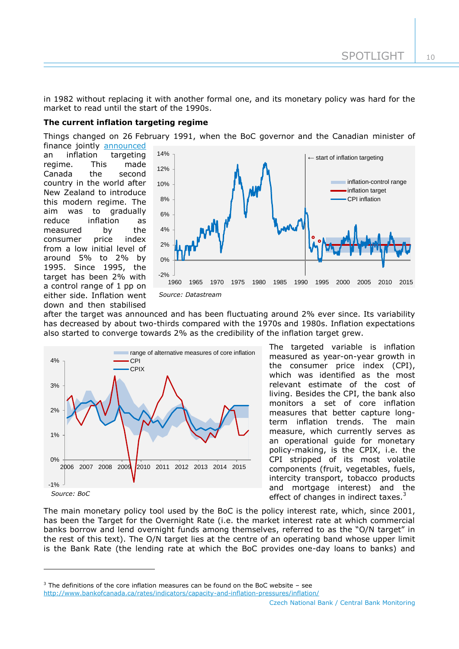in 1982 without replacing it with another formal one, and its monetary policy was hard for the market to read until the start of the 1990s.

# **The current inflation targeting regime**

Things changed on 26 February 1991, when the BoC governor and the Canadian minister of finance jointly [announced](http://www.bankofcanada.ca/wp-content/uploads/2011/12/bocreview-mar1991.pdf)

an inflation targeting regime. This made Canada the second country in the world after New Zealand to introduce this modern regime. The aim was to gradually reduce inflation as measured by the consumer price index from a low initial level of around 5% to 2% by 1995. Since 1995, the target has been 2% with a control range of 1 pp on either side. Inflation went down and then stabilised

1



after the target was announced and has been fluctuating around 2% ever since. Its variability has decreased by about two-thirds compared with the 1970s and 1980s. Inflation expectations also started to converge towards 2% as the credibility of the inflation target grew.



The targeted variable is inflation measured as year-on-year growth in the consumer price index (CPI), which was identified as the most relevant estimate of the cost of living. Besides the CPI, the bank also monitors a set of core inflation measures that better capture longterm inflation trends. The main measure, which currently serves as an operational guide for monetary policy-making, is the CPIX, i.e. the CPI stripped of its most volatile components (fruit, vegetables, fuels, intercity transport, tobacco products and mortgage interest) and the effect of changes in indirect taxes. $3$ 

The main monetary policy tool used by the BoC is the policy interest rate, which, since 2001, has been the Target for the Overnight Rate (i.e. the market interest rate at which commercial banks borrow and lend overnight funds among themselves, referred to as the "O/N target" in the rest of this text). The O/N target lies at the centre of an operating band whose upper limit is the Bank Rate (the lending rate at which the BoC provides one-day loans to banks) and

 $3$  The definitions of the core inflation measures can be found on the BoC website – see

<http://www.bankofcanada.ca/rates/indicators/capacity-and-inflation-pressures/inflation/>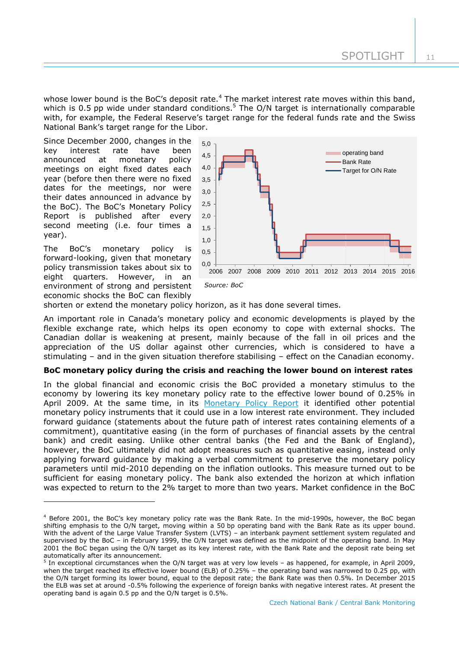whose lower bound is the BoC's deposit rate.<sup>4</sup> The market interest rate moves within this band, which is 0.5 pp wide under standard conditions.<sup>5</sup> The O/N target is internationally comparable with, for example, the Federal Reserve's target range for the federal funds rate and the Swiss National Bank's target range for the Libor.

Since December 2000, changes in the key interest rate have been announced at monetary policy meetings on eight fixed dates each year (before then there were no fixed dates for the meetings, nor were their dates announced in advance by the BoC). The BoC's Monetary Policy Report is published after every second meeting (i.e. four times a year).

The BoC's monetary policy is forward-looking, given that monetary policy transmission takes about six to eight quarters. However, in an environment of strong and persistent economic shocks the BoC can flexibly

-



shorten or extend the monetary policy horizon, as it has done several times.

An important role in Canada's monetary policy and economic developments is played by the flexible exchange rate, which helps its open economy to cope with external shocks. The Canadian dollar is weakening at present, mainly because of the fall in oil prices and the appreciation of the US dollar against other currencies, which is considered to have a stimulating – and in the given situation therefore stabilising – effect on the Canadian economy.

# **BoC monetary policy during the crisis and reaching the lower bound on interest rates**

In the global financial and economic crisis the BoC provided a monetary stimulus to the economy by lowering its key monetary policy rate to the effective lower bound of 0.25% in April 2009. At the same time, in its [Monetary Policy Report](http://www.bankofcanada.ca/wp-content/uploads/2010/03/mpr230409.pdf) it identified other potential monetary policy instruments that it could use in a low interest rate environment. They included forward guidance (statements about the future path of interest rates containing elements of a commitment), quantitative easing (in the form of purchases of financial assets by the central bank) and credit easing. Unlike other central banks (the Fed and the Bank of England), however, the BoC ultimately did not adopt measures such as quantitative easing, instead only applying forward guidance by making a verbal commitment to preserve the monetary policy parameters until mid-2010 depending on the inflation outlooks. This measure turned out to be sufficient for easing monetary policy. The bank also extended the horizon at which inflation was expected to return to the 2% target to more than two years. Market confidence in the BoC

<sup>4</sup> Before 2001, the BoC's key monetary policy rate was the Bank Rate. In the mid-1990s, however, the BoC began shifting emphasis to the O/N target, moving within a 50 bp operating band with the Bank Rate as its upper bound. With the advent of the Large Value Transfer System (LVTS) – an interbank payment settlement system regulated and supervised by the BoC – in February 1999, the O/N target was defined as the midpoint of the operating band. In May 2001 the BoC began using the O/N target as its key interest rate, with the Bank Rate and the deposit rate being set automatically after its announcement.

<sup>&</sup>lt;sup>5</sup> In exceptional circumstances when the O/N target was at very low levels – as happened, for example, in April 2009, when the target reached its effective lower bound (ELB) of 0.25% – the operating band was narrowed to 0.25 pp, with the O/N target forming its lower bound, equal to the deposit rate; the Bank Rate was then 0.5%. In December 2015 the ELB was set at around -0.5% following the experience of foreign banks with negative interest rates. At present the operating band is again 0.5 pp and the O/N target is 0.5%.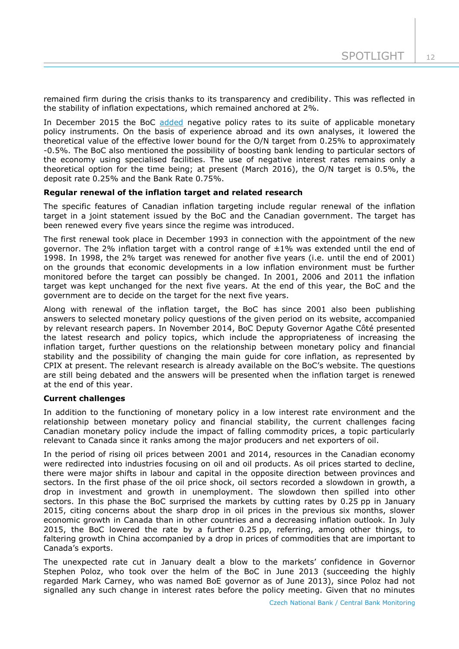remained firm during the crisis thanks to its transparency and credibility. This was reflected in the stability of inflation expectations, which remained anchored at 2%.

In December 2015 the BoC [added](http://www.bankofcanada.ca/wp-content/uploads/2015/12/framework-conducting-monetary-policy.pdf) negative policy rates to its suite of applicable monetary policy instruments. On the basis of experience abroad and its own analyses, it lowered the theoretical value of the effective lower bound for the O/N target from 0.25% to approximately -0.5%. The BoC also mentioned the possibility of boosting bank lending to particular sectors of the economy using specialised facilities. The use of negative interest rates remains only a theoretical option for the time being; at present (March 2016), the O/N target is 0.5%, the deposit rate 0.25% and the Bank Rate 0.75%.

#### **Regular renewal of the inflation target and related research**

The specific features of Canadian inflation targeting include regular renewal of the inflation target in a joint statement issued by the BoC and the Canadian government. The target has been renewed every five years since the regime was introduced.

The first renewal took place in December 1993 in connection with the appointment of the new governor. The 2% inflation target with a control range of  $\pm 1\%$  was extended until the end of 1998. In 1998, the 2% target was renewed for another five years (i.e. until the end of 2001) on the grounds that economic developments in a low inflation environment must be further monitored before the target can possibly be changed. In 2001, 2006 and 2011 the inflation target was kept unchanged for the next five years. At the end of this year, the BoC and the government are to decide on the target for the next five years.

Along with renewal of the inflation target, the BoC has since 2001 also been publishing answers to selected monetary policy questions of the given period on its website, accompanied by relevant research papers. In November 2014, BoC Deputy Governor Agathe Côté presented the latest research and policy topics, which include the appropriateness of increasing the inflation target, further questions on the relationship between monetary policy and financial stability and the possibility of changing the main guide for core inflation, as represented by CPIX at present. The relevant research is already available on the BoC's website. The questions are still being debated and the answers will be presented when the inflation target is renewed at the end of this year.

# **Current challenges**

In addition to the functioning of monetary policy in a low interest rate environment and the relationship between monetary policy and financial stability, the current challenges facing Canadian monetary policy include the impact of falling commodity prices, a topic particularly relevant to Canada since it ranks among the major producers and net exporters of oil.

In the period of rising oil prices between 2001 and 2014, resources in the Canadian economy were redirected into industries focusing on oil and oil products. As oil prices started to decline, there were major shifts in labour and capital in the opposite direction between provinces and sectors. In the first phase of the oil price shock, oil sectors recorded a slowdown in growth, a drop in investment and growth in unemployment. The slowdown then spilled into other sectors. In this phase the BoC surprised the markets by cutting rates by 0.25 pp in January 2015, citing concerns about the sharp drop in oil prices in the previous six months, slower economic growth in Canada than in other countries and a decreasing inflation outlook. In July 2015, the BoC lowered the rate by a further 0.25 pp, referring, among other things, to faltering growth in China accompanied by a drop in prices of commodities that are important to Canada's exports.

The unexpected rate cut in January dealt a blow to the markets' confidence in Governor Stephen Poloz, who took over the helm of the BoC in June 2013 (succeeding the highly regarded Mark Carney, who was named BoE governor as of June 2013), since Poloz had not signalled any such change in interest rates before the policy meeting. Given that no minutes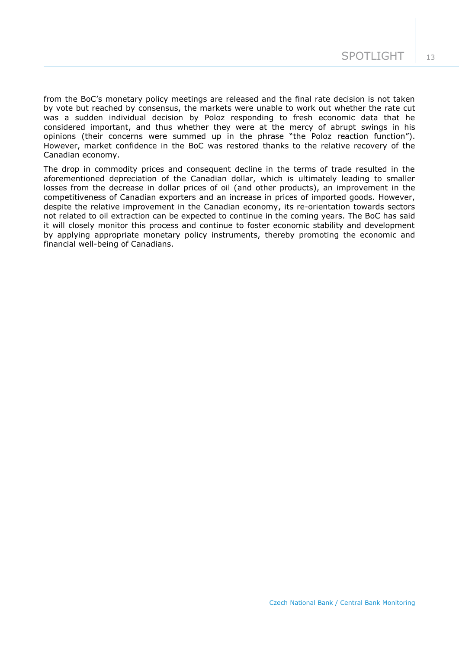from the BoC's monetary policy meetings are released and the final rate decision is not taken by vote but reached by consensus, the markets were unable to work out whether the rate cut was a sudden individual decision by Poloz responding to fresh economic data that he considered important, and thus whether they were at the mercy of abrupt swings in his opinions (their concerns were summed up in the phrase "the Poloz reaction function"). However, market confidence in the BoC was restored thanks to the relative recovery of the Canadian economy.

The drop in commodity prices and consequent decline in the terms of trade resulted in the aforementioned depreciation of the Canadian dollar, which is ultimately leading to smaller losses from the decrease in dollar prices of oil (and other products), an improvement in the competitiveness of Canadian exporters and an increase in prices of imported goods. However, despite the relative improvement in the Canadian economy, its re-orientation towards sectors not related to oil extraction can be expected to continue in the coming years. The BoC has said it will closely monitor this process and continue to foster economic stability and development by applying appropriate monetary policy instruments, thereby promoting the economic and financial well-being of Canadians.